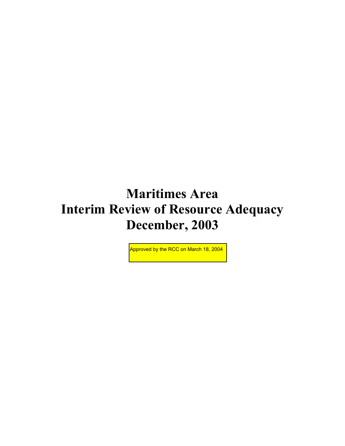# **Maritimes Area Interim Review of Resource Adequacy December, 2003**

Approved by the RCC on March 18, 2004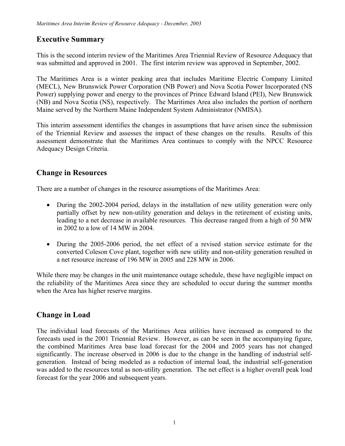# **Executive Summary**

This is the second interim review of the Maritimes Area Triennial Review of Resource Adequacy that was submitted and approved in 2001. The first interim review was approved in September, 2002.

The Maritimes Area is a winter peaking area that includes Maritime Electric Company Limited (MECL), New Brunswick Power Corporation (NB Power) and Nova Scotia Power Incorporated (NS Power) supplying power and energy to the provinces of Prince Edward Island (PEI), New Brunswick (NB) and Nova Scotia (NS), respectively. The Maritimes Area also includes the portion of northern Maine served by the Northern Maine Independent System Administrator (NMISA).

This interim assessment identifies the changes in assumptions that have arisen since the submission of the Triennial Review and assesses the impact of these changes on the results. Results of this assessment demonstrate that the Maritimes Area continues to comply with the NPCC Resource Adequacy Design Criteria.

## **Change in Resources**

There are a number of changes in the resource assumptions of the Maritimes Area:

- During the 2002-2004 period, delays in the installation of new utility generation were only partially offset by new non-utility generation and delays in the retirement of existing units, leading to a net decrease in available resources. This decrease ranged from a high of 50 MW in 2002 to a low of 14 MW in 2004.
- During the 2005-2006 period, the net effect of a revised station service estimate for the converted Coleson Cove plant, together with new utility and non-utility generation resulted in a net resource increase of 196 MW in 2005 and 228 MW in 2006.

While there may be changes in the unit maintenance outage schedule, these have negligible impact on the reliability of the Maritimes Area since they are scheduled to occur during the summer months when the Area has higher reserve margins.

# **Change in Load**

The individual load forecasts of the Maritimes Area utilities have increased as compared to the forecasts used in the 2001 Triennial Review. However, as can be seen in the accompanying figure, the combined Maritimes Area base load forecast for the 2004 and 2005 years has not changed significantly. The increase observed in 2006 is due to the change in the handling of industrial selfgeneration. Instead of being modeled as a reduction of internal load, the industrial self-generation was added to the resources total as non-utility generation. The net effect is a higher overall peak load forecast for the year 2006 and subsequent years.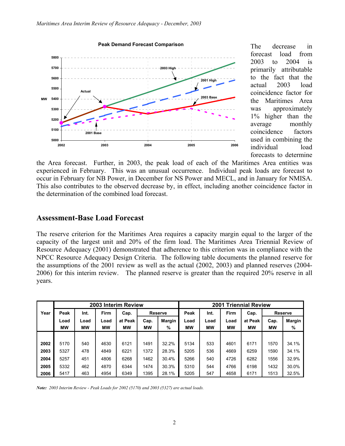

The decrease in forecast load from 2003 to 2004 is primarily attributable to the fact that the actual 2003 load coincidence factor for the Maritimes Area was approximately 1% higher than the average monthly coincidence factors used in combining the individual load forecasts to determine

the Area forecast. Further, in 2003, the peak load of each of the Maritimes Area entities was experienced in February. This was an unusual occurrence. Individual peak loads are forecast to occur in February for NB Power, in December for NS Power and MECL, and in January for NMISA. This also contributes to the observed decrease by, in effect, including another coincidence factor in the determination of the combined load forecast.

#### **Assessment-Base Load Forecast**

The reserve criterion for the Maritimes Area requires a capacity margin equal to the larger of the capacity of the largest unit and 20% of the firm load. The Maritimes Area Triennial Review of Resource Adequacy (2001) demonstrated that adherence to this criterion was in compliance with the NPCC Resource Adequacy Design Criteria. The following table documents the planned reserve for the assumptions of the 2001 review as well as the actual (2002, 2003) and planned reserves (2004- 2006) for this interim review. The planned reserve is greater than the required 20% reserve in all years.

|      | 2003 Interim Review |      |      |         |           |        | <b>Triennial Review</b><br>2001 |           |           |           |      |                |  |
|------|---------------------|------|------|---------|-----------|--------|---------------------------------|-----------|-----------|-----------|------|----------------|--|
| Year | Peak                | Int. | Firm | Cap.    | Reserve   |        | Peak                            | Int.      | Firm      | Cap.      |      | <b>Reserve</b> |  |
|      | Load                | Load | Load | at Peak | Cap.      | Margin | Load                            | Load      | Load      | at Peak   | Cap. | Margin         |  |
|      | МW                  | мw   | МW   | МW      | <b>MW</b> | %      | МW                              | <b>MW</b> | <b>MW</b> | <b>MW</b> | МW   | %              |  |
|      |                     |      |      |         |           |        |                                 |           |           |           |      |                |  |
| 2002 | 5170                | 540  | 4630 | 6121    | 1491      | 32.2%  | 5134                            | 533       | 4601      | 6171      | 1570 | 34.1%          |  |
| 2003 | 5327                | 478  | 4849 | 6221    | 1372      | 28.3%  | 5205                            | 536       | 4669      | 6259      | 1590 | 34.1%          |  |
| 2004 | 5257                | 451  | 4806 | 6268    | 1462      | 30.4%  | 5266                            | 540       | 4726      | 6282      | 1556 | 32.9%          |  |
| 2005 | 5332                | 462  | 4870 | 6344    | 1474      | 30.3%  | 5310                            | 544       | 4766      | 6198      | 1432 | 30.0%          |  |
| 2006 | 5417                | 463  | 4954 | 6349    | 1395      | 28.1%  | 5205                            | 547       | 4658      | 6171      | 1513 | 32.5%          |  |

*Note: 2003 Interim Review - Peak Loads for 2002 (5170) and 2003 (5327) are actual loads.*